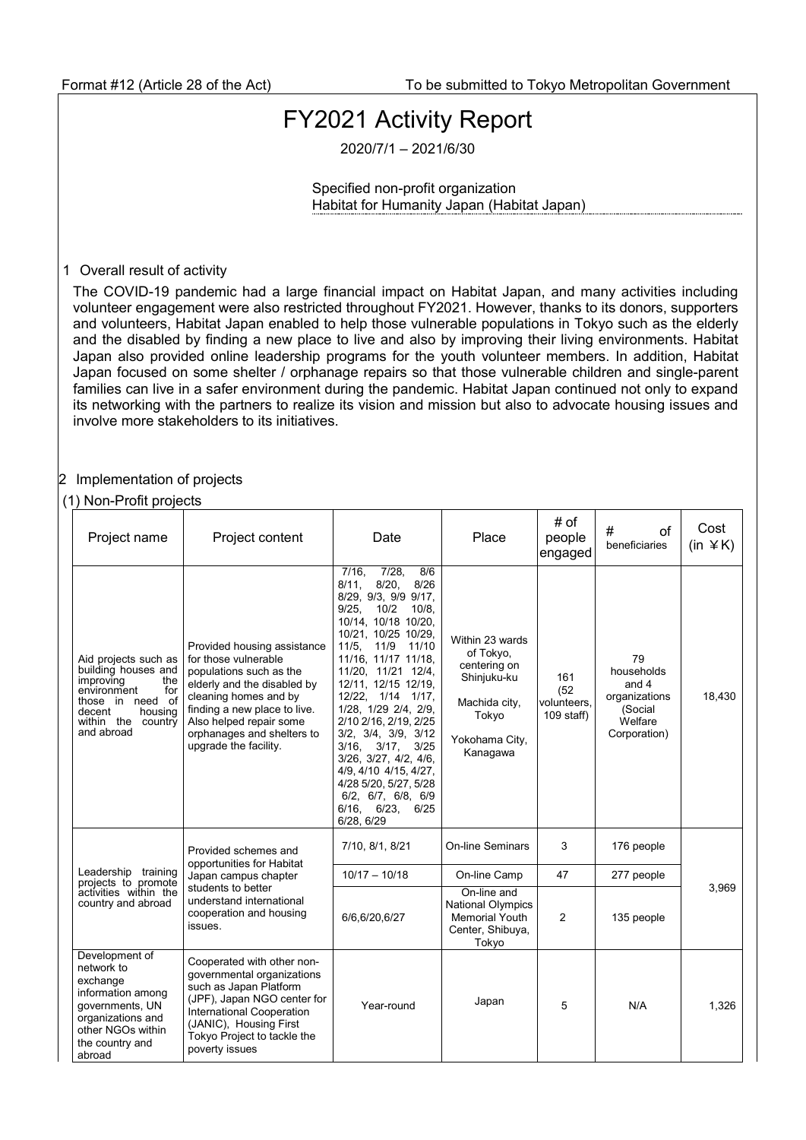## FY2021 Activity Report

2020/7/1 – 2021/6/30

Specified non-profit organization Habitat for Humanity Japan (Habitat Japan)

## 1 Overall result of activity

The COVID-19 pandemic had a large financial impact on Habitat Japan, and many activities including volunteer engagement were also restricted throughout FY2021. However, thanks to its donors, supporters and volunteers, Habitat Japan enabled to help those vulnerable populations in Tokyo such as the elderly and the disabled by finding a new place to live and also by improving their living environments. Habitat Japan also provided online leadership programs for the youth volunteer members. In addition, Habitat Japan focused on some shelter / orphanage repairs so that those vulnerable children and single-parent families can live in a safer environment during the pandemic. Habitat Japan continued not only to expand its networking with the partners to realize its vision and mission but also to advocate housing issues and involve more stakeholders to its initiatives.

## 2 Implementation of projects

## (1) Non-Profit projects

| Project name                                                                                                                                                       | Project content                                                                                                                                                                                                                                          | Date                                                                                                                                                                                                                                                                                                                                                                                                                                                                                                                              | Place                                                                                                               | # of<br>people<br>engaged                  | #<br>$\alpha$ f<br>beneficiaries                                                   | Cost<br>$(in \angle K)$ |
|--------------------------------------------------------------------------------------------------------------------------------------------------------------------|----------------------------------------------------------------------------------------------------------------------------------------------------------------------------------------------------------------------------------------------------------|-----------------------------------------------------------------------------------------------------------------------------------------------------------------------------------------------------------------------------------------------------------------------------------------------------------------------------------------------------------------------------------------------------------------------------------------------------------------------------------------------------------------------------------|---------------------------------------------------------------------------------------------------------------------|--------------------------------------------|------------------------------------------------------------------------------------|-------------------------|
| Aid projects such as<br>building houses and<br>improving<br>the<br>environment<br>for<br>those in need of<br>decent<br>housing<br>within the country<br>and abroad | Provided housing assistance<br>for those vulnerable<br>populations such as the<br>elderly and the disabled by<br>cleaning homes and by<br>finding a new place to live.<br>Also helped repair some<br>orphanages and shelters to<br>upgrade the facility. | 7/28,<br>$7/16$ ,<br>8/6<br>$8/20$ ,<br>8/26<br>8/11.<br>8/29, 9/3, 9/9 9/17,<br>9/25.<br>10/2<br>10/8.<br>10/14, 10/18 10/20,<br>10/21, 10/25 10/29,<br>11/5. 11/9<br>11/10<br>11/16, 11/17 11/18,<br>11/20, 11/21 12/4,<br>12/11, 12/15 12/19,<br>12/22, 1/14 1/17,<br>1/28, 1/29 2/4, 2/9,<br>2/10 2/16, 2/19, 2/25<br>$3/2$ , $3/4$ , $3/9$ , $3/12$<br>3/25<br>$3/16$ , $3/17$ ,<br>3/26, 3/27, 4/2, 4/6,<br>4/9, 4/10 4/15, 4/27,<br>4/28 5/20, 5/27, 5/28<br>6/2, 6/7, 6/8, 6/9<br>$6/16$ , $6/23$ ,<br>6/25<br>6/28, 6/29 | Within 23 wards<br>of Tokyo,<br>centering on<br>Shinjuku-ku<br>Machida city,<br>Tokyo<br>Yokohama City,<br>Kanagawa | 161<br>(52)<br>volunteers,<br>$109$ staff) | 79<br>households<br>and $4$<br>organizations<br>(Social<br>Welfare<br>Corporation) | 18,430                  |
| Leadership training<br>projects to promote<br>activities within the<br>country and abroad                                                                          | Provided schemes and<br>opportunities for Habitat<br>Japan campus chapter<br>students to better<br>understand international<br>cooperation and housing<br>issues.                                                                                        | 7/10, 8/1, 8/21                                                                                                                                                                                                                                                                                                                                                                                                                                                                                                                   | <b>On-line Seminars</b>                                                                                             | 3                                          | 176 people                                                                         | 3,969                   |
|                                                                                                                                                                    |                                                                                                                                                                                                                                                          | $10/17 - 10/18$                                                                                                                                                                                                                                                                                                                                                                                                                                                                                                                   | On-line Camp                                                                                                        | 47                                         | 277 people                                                                         |                         |
|                                                                                                                                                                    |                                                                                                                                                                                                                                                          | 6/6,6/20,6/27                                                                                                                                                                                                                                                                                                                                                                                                                                                                                                                     | On-line and<br>National Olympics<br><b>Memorial Youth</b><br>Center, Shibuya,<br>Tokyo                              | 2                                          | 135 people                                                                         |                         |
| Development of<br>network to<br>exchange<br>information among<br>governments, UN<br>organizations and<br>other NGOs within<br>the country and<br>abroad            | Cooperated with other non-<br>governmental organizations<br>such as Japan Platform<br>(JPF), Japan NGO center for<br>International Cooperation<br>(JANIC), Housing First<br>Tokyo Project to tackle the<br>poverty issues                                | Year-round                                                                                                                                                                                                                                                                                                                                                                                                                                                                                                                        | Japan                                                                                                               | 5                                          | N/A                                                                                | 1,326                   |